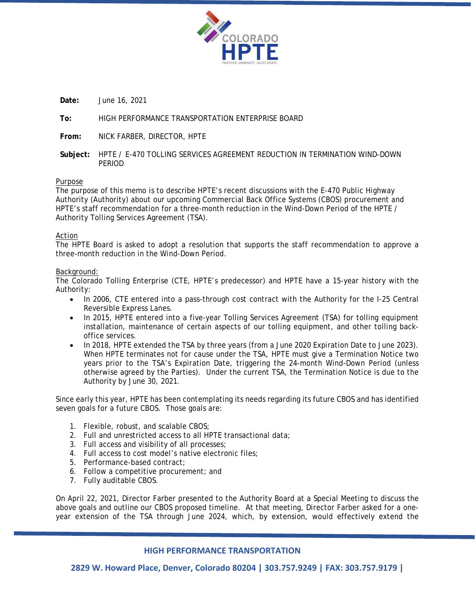

**Date:** June 16, 2021

## **To:** HIGH PERFORMANCE TRANSPORTATION ENTERPRISE BOARD

**From:** NICK FARBER, DIRECTOR, HPTE

**Subject:** HPTE / E-470 TOLLING SERVICES AGREEMENT REDUCTION IN TERMINATION WIND-DOWN PERIOD

#### Purpose

The purpose of this memo is to describe HPTE's recent discussions with the E-470 Public Highway Authority (Authority) about our upcoming Commercial Back Office Systems (CBOS) procurement and HPTE's staff recommendation for a three-month reduction in the Wind-Down Period of the HPTE / Authority Tolling Services Agreement (TSA).

#### Action

The HPTE Board is asked to adopt a resolution that supports the staff recommendation to approve a three-month reduction in the Wind-Down Period.

#### Background:

The Colorado Tolling Enterprise (CTE, HPTE's predecessor) and HPTE have a 15-year history with the Authority:

- In 2006, CTE entered into a pass-through cost contract with the Authority for the I-25 Central Reversible Express Lanes.
- In 2015, HPTE entered into a five-year Tolling Services Agreement (TSA) for tolling equipment installation, maintenance of certain aspects of our tolling equipment, and other tolling backoffice services.
- In 2018, HPTE extended the TSA by three years (from a June 2020 Expiration Date to June 2023). When HPTE terminates not for cause under the TSA, HPTE must give a Termination Notice two years prior to the TSA's Expiration Date, triggering the 24-month Wind-Down Period (unless otherwise agreed by the Parties). Under the current TSA, the Termination Notice is due to the Authority by June 30, 2021.

Since early this year, HPTE has been contemplating its needs regarding its future CBOS and has identified seven goals for a future CBOS. Those goals are:

- 1. Flexible, robust, and scalable CBOS;
- 2. Full and unrestricted access to all HPTE transactional data;
- 3. Full access and visibility of all processes;
- 4. Full access to cost model's native electronic files;
- 5. Performance-based contract;
- 6. Follow a competitive procurement; and
- 7. Fully auditable CBOS.

On April 22, 2021, Director Farber presented to the Authority Board at a Special Meeting to discuss the above goals and outline our CBOS proposed timeline. At that meeting, Director Farber asked for a oneyear extension of the TSA through June 2024, which, by extension, would effectively extend the

#### **HIGH PERFORMANCE TRANSPORTATION**

**2829 W. Howard Place, Denver, Colorado 80204 | 303.757.9249 | FAX: 303.757.9179 |**